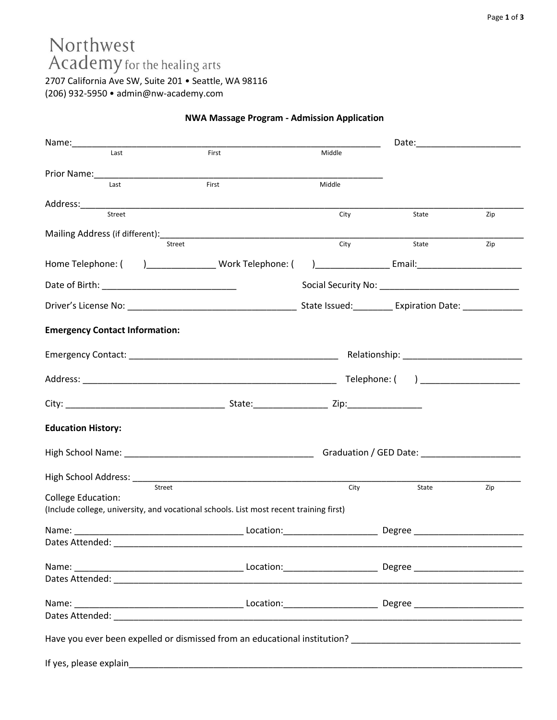# Northwest Academy for the healing arts

2707 California Ave SW, Suite 201 • Seattle, WA 98116 (206) 932-5950 • admin@nw-academy.com

### **NWA Massage Program - Admission Application**

| Name:___________                      |                                                                                        |        |       |     |
|---------------------------------------|----------------------------------------------------------------------------------------|--------|-------|-----|
| Last                                  | First                                                                                  | Middle |       |     |
|                                       |                                                                                        |        |       |     |
| Last                                  | First                                                                                  | Middle |       |     |
|                                       |                                                                                        |        |       |     |
| Street                                |                                                                                        | City   | State | Zip |
|                                       |                                                                                        |        |       |     |
|                                       | Street                                                                                 | City   | State | Zip |
|                                       |                                                                                        |        |       |     |
|                                       |                                                                                        |        |       |     |
|                                       |                                                                                        |        |       |     |
| <b>Emergency Contact Information:</b> |                                                                                        |        |       |     |
|                                       |                                                                                        |        |       |     |
|                                       |                                                                                        |        |       |     |
|                                       |                                                                                        |        |       |     |
| <b>Education History:</b>             |                                                                                        |        |       |     |
|                                       |                                                                                        |        |       |     |
|                                       |                                                                                        |        |       |     |
| Street                                |                                                                                        | City   | State | Zip |
| <b>College Education:</b>             | (Include college, university, and vocational schools. List most recent training first) |        |       |     |
|                                       |                                                                                        |        |       |     |
| Dates Attended:                       |                                                                                        |        |       |     |
|                                       |                                                                                        |        |       |     |
|                                       |                                                                                        |        |       |     |
|                                       |                                                                                        |        |       |     |
|                                       |                                                                                        |        |       |     |
|                                       |                                                                                        |        |       |     |
|                                       |                                                                                        |        |       |     |
|                                       |                                                                                        |        |       |     |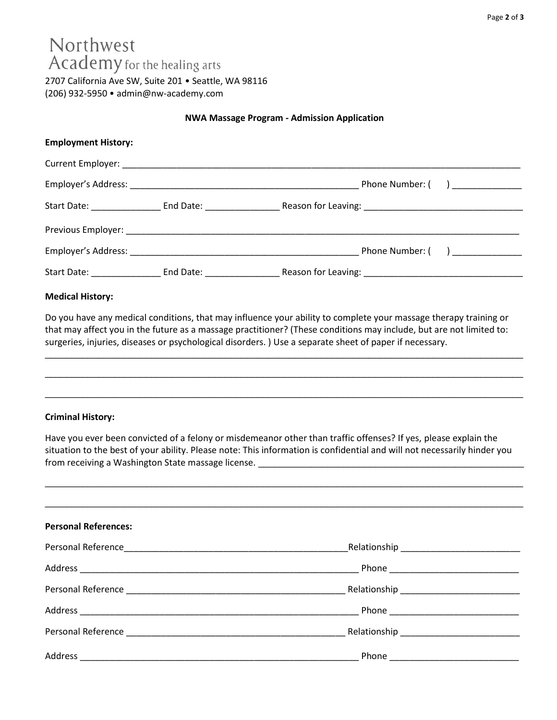# Northwest Academy for the healing arts

2707 California Ave SW, Suite 201 • Seattle, WA 98116 (206) 932-5950 • admin@nw-academy.com

#### **NWA Massage Program - Admission Application**

| <b>Employment History:</b> |  |                               |
|----------------------------|--|-------------------------------|
|                            |  |                               |
|                            |  | Phone Number: ( ) ___________ |
|                            |  |                               |
|                            |  |                               |
|                            |  |                               |
|                            |  |                               |

#### **Medical History:**

Do you have any medical conditions, that may influence your ability to complete your massage therapy training or that may affect you in the future as a massage practitioner? (These conditions may include, but are not limited to: surgeries, injuries, diseases or psychological disorders. ) Use a separate sheet of paper if necessary.

\_\_\_\_\_\_\_\_\_\_\_\_\_\_\_\_\_\_\_\_\_\_\_\_\_\_\_\_\_\_\_\_\_\_\_\_\_\_\_\_\_\_\_\_\_\_\_\_\_\_\_\_\_\_\_\_\_\_\_\_\_\_\_\_\_\_\_\_\_\_\_\_\_\_\_\_\_\_\_\_\_\_\_\_\_\_\_\_\_\_

 $\_$  ,  $\_$  ,  $\_$  ,  $\_$  ,  $\_$  ,  $\_$  ,  $\_$  ,  $\_$  ,  $\_$  ,  $\_$  ,  $\_$  ,  $\_$  ,  $\_$  ,  $\_$  ,  $\_$  ,  $\_$  ,  $\_$  ,  $\_$  ,  $\_$  ,  $\_$  ,  $\_$  ,  $\_$  ,  $\_$  ,  $\_$  ,  $\_$  ,  $\_$  ,  $\_$  ,  $\_$  ,  $\_$  ,  $\_$  ,  $\_$  ,  $\_$  ,  $\_$  ,  $\_$  ,  $\_$  ,  $\_$  ,  $\_$  ,

 $\_$  ,  $\_$  ,  $\_$  ,  $\_$  ,  $\_$  ,  $\_$  ,  $\_$  ,  $\_$  ,  $\_$  ,  $\_$  ,  $\_$  ,  $\_$  ,  $\_$  ,  $\_$  ,  $\_$  ,  $\_$  ,  $\_$  ,  $\_$  ,  $\_$  ,  $\_$  ,  $\_$  ,  $\_$  ,  $\_$  ,  $\_$  ,  $\_$  ,  $\_$  ,  $\_$  ,  $\_$  ,  $\_$  ,  $\_$  ,  $\_$  ,  $\_$  ,  $\_$  ,  $\_$  ,  $\_$  ,  $\_$  ,  $\_$  ,

#### **Criminal History:**

Have you ever been convicted of a felony or misdemeanor other than traffic offenses? If yes, please explain the situation to the best of your ability. Please note: This information is confidential and will not necessarily hinder you from receiving a Washington State massage license. \_\_\_\_\_\_\_\_\_\_\_\_\_\_\_\_\_\_\_\_\_\_\_\_\_\_\_\_\_\_

| <b>Personal References:</b>                                                                                                         |                                                                                                                |
|-------------------------------------------------------------------------------------------------------------------------------------|----------------------------------------------------------------------------------------------------------------|
|                                                                                                                                     |                                                                                                                |
|                                                                                                                                     |                                                                                                                |
|                                                                                                                                     |                                                                                                                |
|                                                                                                                                     |                                                                                                                |
|                                                                                                                                     | Relationship experience and the set of the set of the set of the set of the set of the set of the set of the s |
| Address<br><u> 2000 - Jan Alexandro Alexandro Alexandro Alexandro Alexandro Alexandro Alexandro Alexandro Alexandro Alexandro A</u> | Phone ___________________________                                                                              |